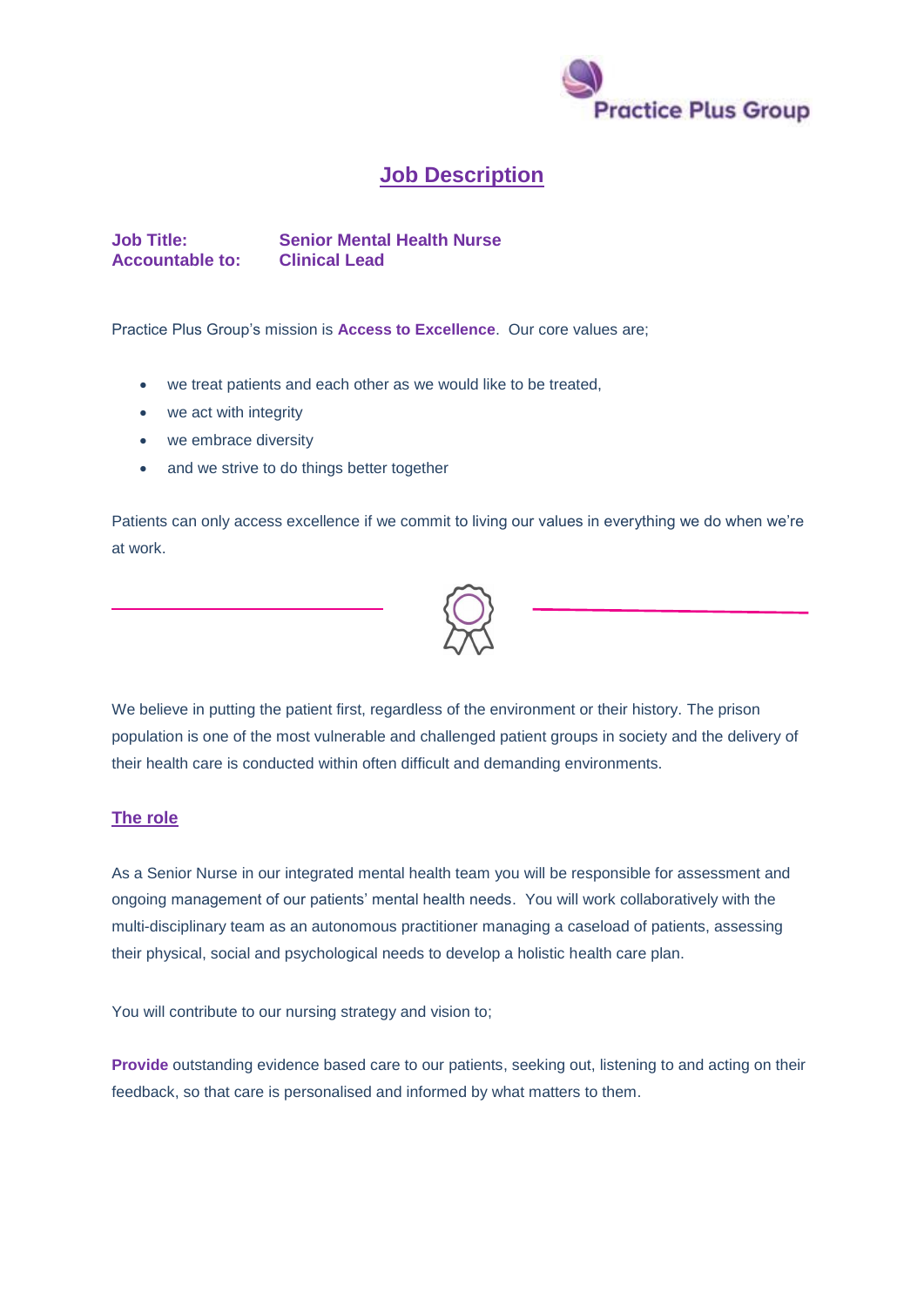

## **Job Description**

**Job Title: Senior Mental Health Nurse Accountable to: Clinical Lead**

Practice Plus Group's mission is **Access to Excellence**. Our core values are;

- we treat patients and each other as we would like to be treated,
- we act with integrity
- we embrace diversity
- and we strive to do things better together

Patients can only access excellence if we commit to living our values in everything we do when we're at work.



We believe in putting the patient first, regardless of the environment or their history. The prison population is one of the most vulnerable and challenged patient groups in society and the delivery of their health care is conducted within often difficult and demanding environments.

## **The role**

As a Senior Nurse in our integrated mental health team you will be responsible for assessment and ongoing management of our patients' mental health needs. You will work collaboratively with the multi-disciplinary team as an autonomous practitioner managing a caseload of patients, assessing their physical, social and psychological needs to develop a holistic health care plan.

You will contribute to our nursing strategy and vision to;

**Provide** outstanding evidence based care to our patients, seeking out, listening to and acting on their feedback, so that care is personalised and informed by what matters to them.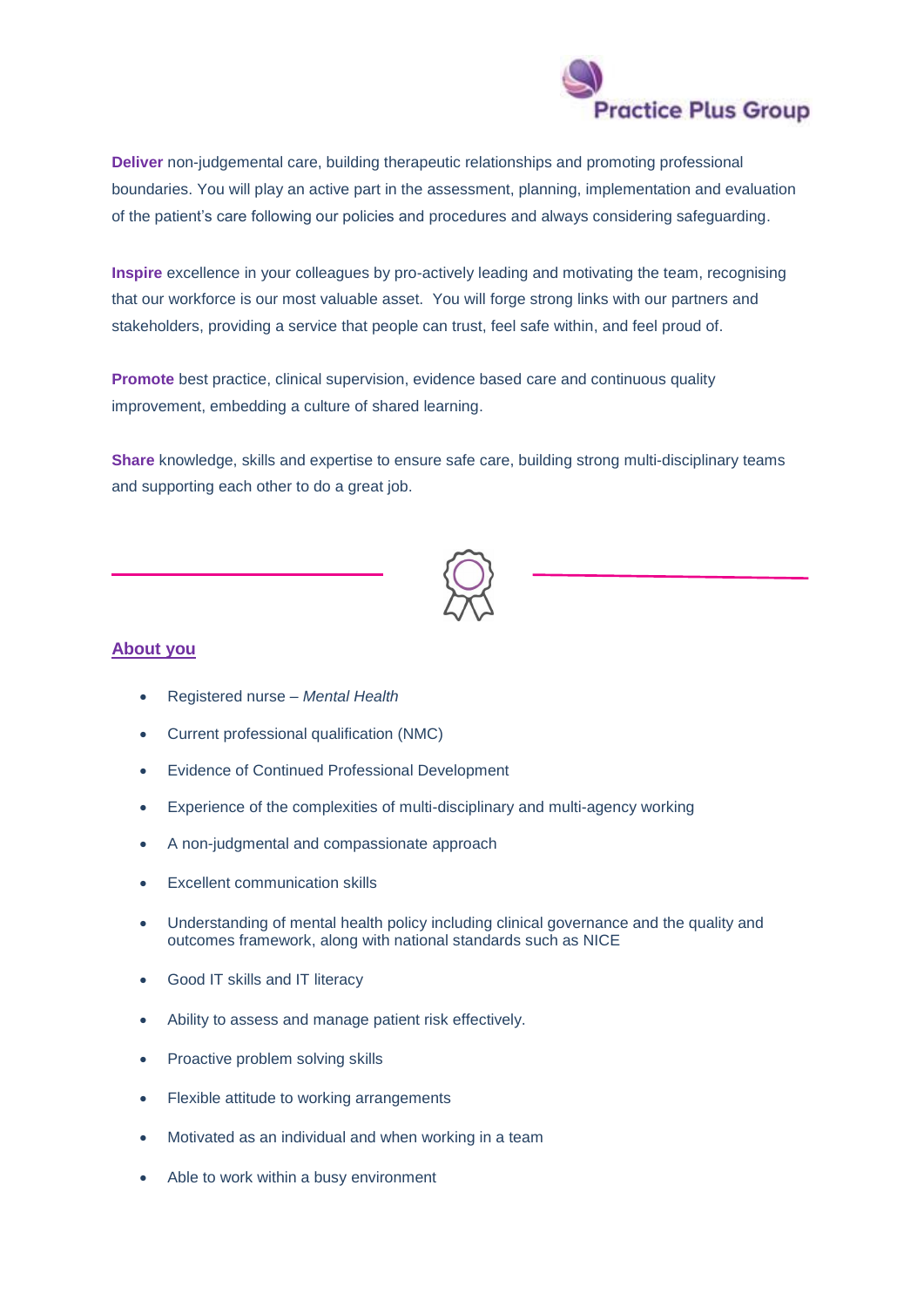

**Deliver** non-judgemental care, building therapeutic relationships and promoting professional boundaries. You will play an active part in the assessment, planning, implementation and evaluation of the patient's care following our policies and procedures and always considering safeguarding.

**Inspire** excellence in your colleagues by pro-actively leading and motivating the team, recognising that our workforce is our most valuable asset. You will forge strong links with our partners and stakeholders, providing a service that people can trust, feel safe within, and feel proud of.

**Promote** best practice, clinical supervision, evidence based care and continuous quality improvement, embedding a culture of shared learning.

**Share** knowledge, skills and expertise to ensure safe care, building strong multi-disciplinary teams and supporting each other to do a great job.



## **About you**

- Registered nurse *Mental Health*
- Current professional qualification (NMC)
- Evidence of Continued Professional Development
- Experience of the complexities of multi-disciplinary and multi-agency working
- A non-judgmental and compassionate approach
- Excellent communication skills
- Understanding of mental health policy including clinical governance and the quality and outcomes framework, along with national standards such as NICE
- Good IT skills and IT literacy
- Ability to assess and manage patient risk effectively.
- Proactive problem solving skills
- Flexible attitude to working arrangements
- Motivated as an individual and when working in a team
- Able to work within a busy environment